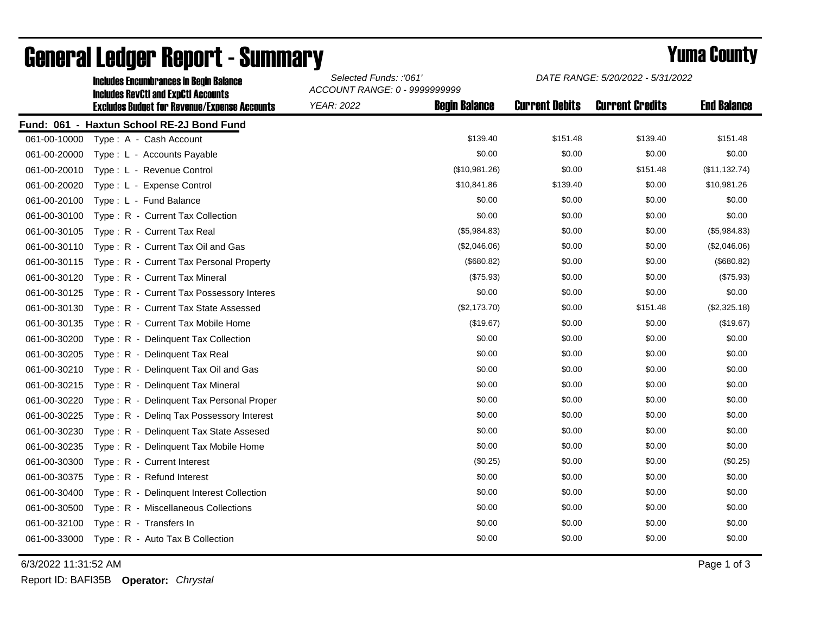|              | <b>Includes Encumbrances in Begin Balance</b>                                                     | Selected Funds: :'061'<br>ACCOUNT RANGE: 0 - 9999999999 |                      | DATE RANGE: 5/20/2022 - 5/31/2022 |                        |                    |
|--------------|---------------------------------------------------------------------------------------------------|---------------------------------------------------------|----------------------|-----------------------------------|------------------------|--------------------|
|              | <b>Includes RevCtI and ExpCtI Accounts</b><br><b>Excludes Budget for Revenue/Expense Accounts</b> | <b>YEAR: 2022</b>                                       | <b>Begin Balance</b> | <b>Current Debits</b>             | <b>Current Credits</b> | <b>End Balance</b> |
|              | Fund: 061 - Haxtun School RE-2J Bond Fund                                                         |                                                         |                      |                                   |                        |                    |
| 061-00-10000 | Type: A - Cash Account                                                                            |                                                         | \$139.40             | \$151.48                          | \$139.40               | \$151.48           |
| 061-00-20000 | Type: L - Accounts Payable                                                                        |                                                         | \$0.00               | \$0.00                            | \$0.00                 | \$0.00             |
| 061-00-20010 | Type: L - Revenue Control                                                                         |                                                         | (\$10,981.26)        | \$0.00                            | \$151.48               | (\$11, 132.74)     |
| 061-00-20020 | Type: L - Expense Control                                                                         |                                                         | \$10,841.86          | \$139.40                          | \$0.00                 | \$10,981.26        |
| 061-00-20100 | Type: L - Fund Balance                                                                            |                                                         | \$0.00               | \$0.00                            | \$0.00                 | \$0.00             |
| 061-00-30100 | Type: R - Current Tax Collection                                                                  |                                                         | \$0.00               | \$0.00                            | \$0.00                 | \$0.00             |
| 061-00-30105 | Type: R - Current Tax Real                                                                        |                                                         | (\$5,984.83)         | \$0.00                            | \$0.00                 | (\$5,984.83)       |
| 061-00-30110 | Type: R - Current Tax Oil and Gas                                                                 |                                                         | (\$2,046.06)         | \$0.00                            | \$0.00                 | (\$2,046.06)       |
| 061-00-30115 | Type: R - Current Tax Personal Property                                                           |                                                         | (\$680.82)           | \$0.00                            | \$0.00                 | (\$680.82)         |
| 061-00-30120 | Type: R - Current Tax Mineral                                                                     |                                                         | (\$75.93)            | \$0.00                            | \$0.00                 | (\$75.93)          |
| 061-00-30125 | Type: R - Current Tax Possessory Interes                                                          |                                                         | \$0.00               | \$0.00                            | \$0.00                 | \$0.00             |
| 061-00-30130 | Type: R - Current Tax State Assessed                                                              |                                                         | (\$2,173.70)         | \$0.00                            | \$151.48               | (\$2,325.18)       |
| 061-00-30135 | Type: R - Current Tax Mobile Home                                                                 |                                                         | (\$19.67)            | \$0.00                            | \$0.00                 | (\$19.67)          |
| 061-00-30200 | Type: R - Delinguent Tax Collection                                                               |                                                         | \$0.00               | \$0.00                            | \$0.00                 | \$0.00             |
| 061-00-30205 | Type: R - Delinquent Tax Real                                                                     |                                                         | \$0.00               | \$0.00                            | \$0.00                 | \$0.00             |
| 061-00-30210 | Type: R - Delinquent Tax Oil and Gas                                                              |                                                         | \$0.00               | \$0.00                            | \$0.00                 | \$0.00             |
| 061-00-30215 | Type: R - Delinquent Tax Mineral                                                                  |                                                         | \$0.00               | \$0.00                            | \$0.00                 | \$0.00             |
| 061-00-30220 | Type: R - Delinguent Tax Personal Proper                                                          |                                                         | \$0.00               | \$0.00                            | \$0.00                 | \$0.00             |
| 061-00-30225 | Type: R - Deling Tax Possessory Interest                                                          |                                                         | \$0.00               | \$0.00                            | \$0.00                 | \$0.00             |
| 061-00-30230 | Type: R - Delinquent Tax State Assesed                                                            |                                                         | \$0.00               | \$0.00                            | \$0.00                 | \$0.00             |
| 061-00-30235 | Type: R - Delinguent Tax Mobile Home                                                              |                                                         | \$0.00               | \$0.00                            | \$0.00                 | \$0.00             |
| 061-00-30300 | Type: R - Current Interest                                                                        |                                                         | (\$0.25)             | \$0.00                            | \$0.00                 | (\$0.25)           |
| 061-00-30375 | Type: R - Refund Interest                                                                         |                                                         | \$0.00               | \$0.00                            | \$0.00                 | \$0.00             |
| 061-00-30400 | Type: R - Delinquent Interest Collection                                                          |                                                         | \$0.00               | \$0.00                            | \$0.00                 | \$0.00             |
| 061-00-30500 | Type: R - Miscellaneous Collections                                                               |                                                         | \$0.00               | \$0.00                            | \$0.00                 | \$0.00             |
| 061-00-32100 | Type: R - Transfers In                                                                            |                                                         | \$0.00               | \$0.00                            | \$0.00                 | \$0.00             |
| 061-00-33000 | Type: R - Auto Tax B Collection                                                                   |                                                         | \$0.00               | \$0.00                            | \$0.00                 | \$0.00             |
|              |                                                                                                   |                                                         |                      |                                   |                        |                    |

## General Ledger Report - Summary **Selected Europe 2001** Manus County **Yuma County**

6/3/2022 11:31:52 AM Page 1 of 3

*DATE RANGE: 5/20/2022 - 5/31/2022*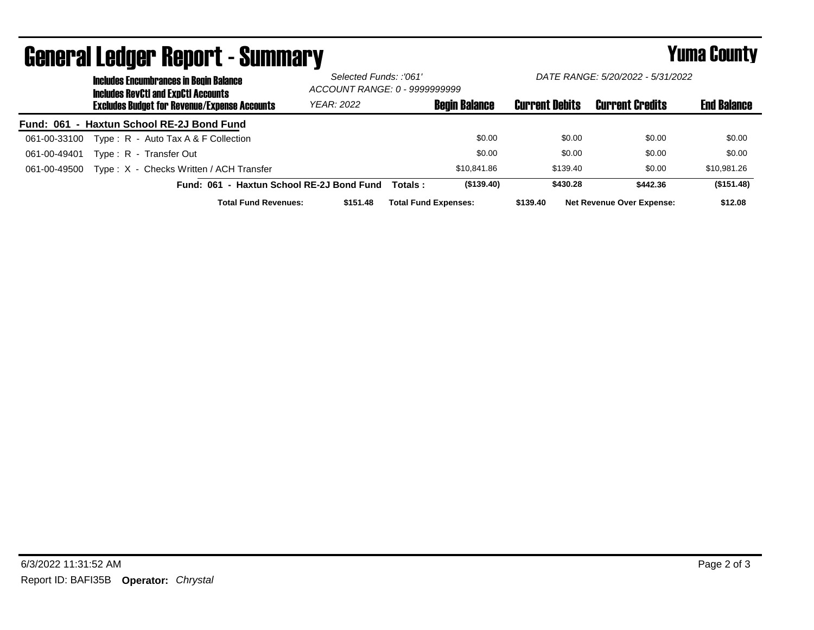|              | <b>Includes Encumbrances in Begin Balance</b><br><b>Includes RevCtI and ExpCtI Accounts</b><br><b>Excludes Budget for Revenue/Expense Accounts</b> | Selected Funds: :'061'<br>ACCOUNT RANGE: 0 - 9999999999 |                             | DATE RANGE: 5/20/2022 - 5/31/2022 |                       |                                  |                    |
|--------------|----------------------------------------------------------------------------------------------------------------------------------------------------|---------------------------------------------------------|-----------------------------|-----------------------------------|-----------------------|----------------------------------|--------------------|
|              |                                                                                                                                                    | <b>YEAR: 2022</b>                                       |                             | <b>Begin Balance</b>              | <b>Current Debits</b> | <b>Current Credits</b>           | <b>End Balance</b> |
|              | Fund: 061 - Haxtun School RE-2J Bond Fund                                                                                                          |                                                         |                             |                                   |                       |                                  |                    |
| 061-00-33100 | Type: R - Auto Tax A & F Collection                                                                                                                |                                                         |                             | \$0.00                            | \$0.00                | \$0.00                           | \$0.00             |
| 061-00-49401 | Type: R - Transfer Out                                                                                                                             |                                                         |                             | \$0.00                            | \$0.00                | \$0.00                           | \$0.00             |
| 061-00-49500 | Type: X - Checks Written / ACH Transfer                                                                                                            |                                                         |                             | \$10,841.86                       | \$139.40              | \$0.00                           | \$10,981.26        |
|              | Fund: 061 - Haxtun School RE-2J Bond Fund                                                                                                          |                                                         | Totals :                    | (\$139.40)                        | \$430.28              | \$442.36                         | (\$151.48)         |
|              | <b>Total Fund Revenues:</b>                                                                                                                        | \$151.48                                                | <b>Total Fund Expenses:</b> |                                   | \$139.40              | <b>Net Revenue Over Expense:</b> | \$12.08            |

## General Ledger Report - Summary **Second Europe County** Yuma County

*DATE RANGE: 5/20/2022 - 5/31/2022*